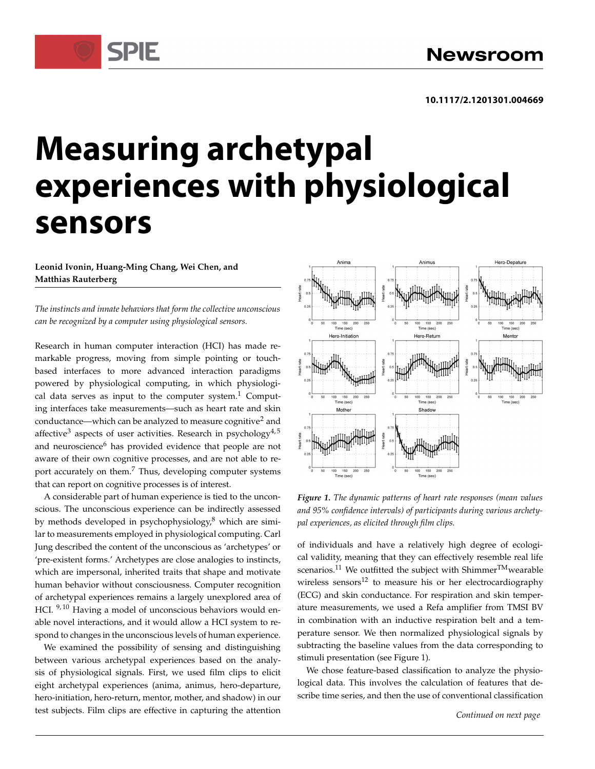## **Measuring archetypal experiences with physiological sensors**

Leonid Ivonin, Huang-Ming Chang, Wei Chen, and Matthias Rauterberg

**SPIE** 

The instincts and innate behaviors that form the collective unconscious can be recognized by a computer using physiological sensors.

Research in human computer interaction (HCI) has made remarkable progress, moving from simple pointing or touchbased interfaces to more advanced interaction paradigms powered by physiological computing, in which physiological data serves as input to the computer system. $1$  Computing interfaces take measurements—such as heart rate and skin conductance—which can be analyzed to measure cognitive<sup>2</sup> and affective<sup>3</sup> aspects of user activities. Research in psychology<sup>4,5</sup> and neuroscience<sup>6</sup> has provided evidence that people are not aware of their own cognitive processes, and are not able to report accurately on them.<sup>7</sup> Thus, developing computer systems that can report on cognitive processes is of interest.

A considerable part of human experience is tied to the unconscious. The unconscious experience can be indirectly assessed by methods developed in psychophysiology, $\delta$  which are similar to measurements employed in physiological computing. Carl Jung described the content of the unconscious as 'archetypes' or 'pre-existent forms.' Archetypes are close analogies to instincts, which are impersonal, inherited traits that shape and motivate human behavior without consciousness. Computer recognition of archetypal experiences remains a largely unexplored area of HCI.<sup>9, 10</sup> Having a model of unconscious behaviors would enable novel interactions, and it would allow a HCI system to respond to changes in the unconscious levels of human experience.

We examined the possibility of sensing and distinguishing between various archetypal experiences based on the analysis of physiological signals. First, we used film clips to elicit eight archetypal experiences (anima, animus, hero-departure, hero-initiation, hero-return, mentor, mother, and shadow) in our test subjects. Film clips are effective in capturing the attention



Figure 1. The dynamic patterns of heart rate responses (mean values and 95% confidence intervals) of participants during various archetypal experiences, as elicited through film clips.

of individuals and have a relatively high degree of ecological validity, meaning that they can effectively resemble real life scenarios.<sup>11</sup> We outfitted the subject with Shimmer<sup>TM</sup>wearable wireless sensors $^{12}$  to measure his or her electrocardiography (ECG) and skin conductance. For respiration and skin temperature measurements, we used a Refa amplifier from TMSI BV in combination with an inductive respiration belt and a temperature sensor. We then normalized physiological signals by subtracting the baseline values from the data corresponding to stimuli presentation (see Figure 1).

We chose feature-based classification to analyze the physiological data. This involves the calculation of features that describe time series, and then the use of conventional classification